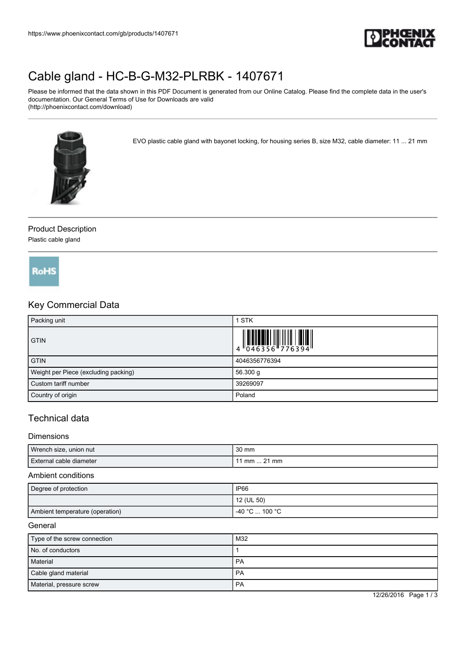

# [Cable gland - HC-B-G-M32-PLRBK - 1407671](https://www.phoenixcontact.com/gb/products/1407671)

Please be informed that the data shown in this PDF Document is generated from our Online Catalog. Please find the complete data in the user's documentation. Our General Terms of Use for Downloads are valid (http://phoenixcontact.com/download)



EVO plastic cable gland with bayonet locking, for housing series B, size M32, cable diameter: 11 ... 21 mm

## Product Description

Plastic cable gland



## Key Commercial Data

| Packing unit                         | 1 STK                                                                     |
|--------------------------------------|---------------------------------------------------------------------------|
| <b>GTIN</b>                          | $\begin{array}{c} 1 & 0 & 0 & 0 \\ 0 & 0 & 4 & 6 & 3 & 5 & 6 \end{array}$ |
| <b>GTIN</b>                          | 4046356776394                                                             |
| Weight per Piece (excluding packing) | 56.300 g                                                                  |
| Custom tariff number                 | 39269097                                                                  |
| Country of origin                    | Poland                                                                    |

### Technical data

#### Dimensions

| Wrench size, union nut  | 30 mm       |
|-------------------------|-------------|
| External cable diameter | 1 mm  21 mm |

#### Ambient conditions

| Degree of protection            | <b>IP66</b>    |
|---------------------------------|----------------|
|                                 | 12 (UL 50)     |
| Ambient temperature (operation) | -40 °C  100 °C |

#### General

| Type of the screw connection | M32 |
|------------------------------|-----|
| No. of conductors            |     |
| Material                     | PA  |
| Cable gland material         | PA  |
| Material, pressure screw     | PA  |

12/26/2016 Page 1 / 3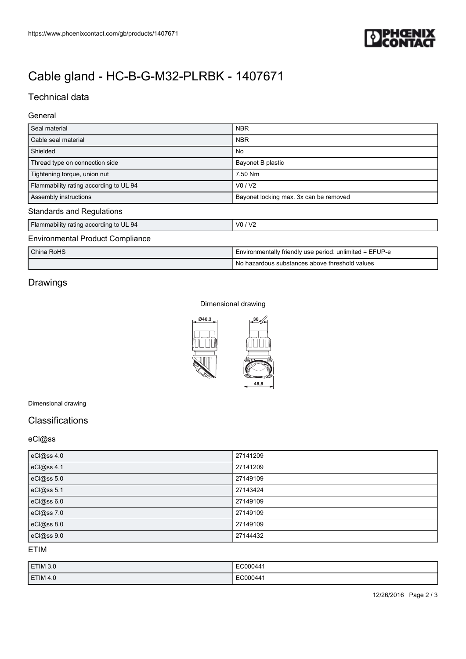

# [Cable gland - HC-B-G-M32-PLRBK - 1407671](https://www.phoenixcontact.com/gb/products/1407671)

## Technical data

#### General

| Seal material                           | <b>NBR</b>                                              |  |  |
|-----------------------------------------|---------------------------------------------------------|--|--|
| Cable seal material                     | <b>NBR</b>                                              |  |  |
| Shielded                                | No                                                      |  |  |
| Thread type on connection side          | Bayonet B plastic                                       |  |  |
| Tightening torque, union nut            | 7.50 Nm                                                 |  |  |
| Flammability rating according to UL 94  | V0/V2                                                   |  |  |
| Assembly instructions                   | Bayonet locking max. 3x can be removed                  |  |  |
| <b>Standards and Regulations</b>        |                                                         |  |  |
| Flammability rating according to UL 94  | V0/V2                                                   |  |  |
| <b>Environmental Product Compliance</b> |                                                         |  |  |
| China RoHS                              | Environmentally friendly use period: unlimited = EFUP-e |  |  |
|                                         | No hazardous substances above threshold values          |  |  |

## Drawings

#### Dimensional drawing



#### Dimensional drawing

## Classifications

#### eCl@ss

| eCl@ss 4.0 | 27141209 |
|------------|----------|
| eCl@ss 4.1 | 27141209 |
| eCl@ss 5.0 | 27149109 |
| eCl@ss 5.1 | 27143424 |
| eCl@ss 6.0 | 27149109 |
| eCl@ss 7.0 | 27149109 |
| eCl@ss 8.0 | 27149109 |
| eCl@ss 9.0 | 27144432 |

ETIM

| ETIM 3.0 | EC00044  |
|----------|----------|
| ETIM 4.0 | EC000441 |